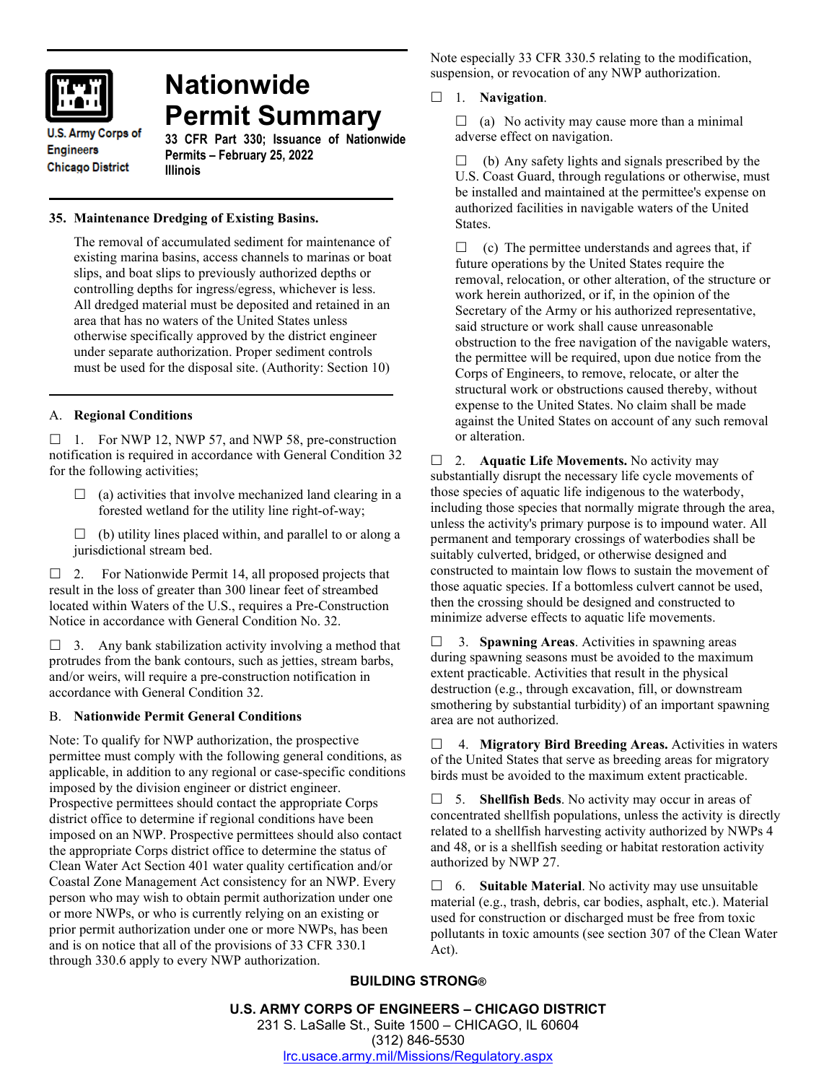

# **Nationwide Permit Summary**

**U.S. Army Corps of Engineers Chicago District** 

**33 CFR Part 330; Issuance of Nationwide Permits – February 25, 2022 Illinois**

## **35. Maintenance Dredging of Existing Basins.**

The removal of accumulated sediment for maintenance of existing marina basins, access channels to marinas or boat slips, and boat slips to previously authorized depths or controlling depths for ingress/egress, whichever is less. All dredged material must be deposited and retained in an area that has no waters of the United States unless otherwise specifically approved by the district engineer under separate authorization. Proper sediment controls must be used for the disposal site. (Authority: Section 10)

## A. **Regional Conditions**

 $\Box$  1. For NWP 12, NWP 57, and NWP 58, pre-construction notification is required in accordance with General Condition 32 for the following activities;

- $\Box$  (a) activities that involve mechanized land clearing in a forested wetland for the utility line right-of-way;
- $\Box$  (b) utility lines placed within, and parallel to or along a jurisdictional stream bed.

 $\Box$  2. For Nationwide Permit 14, all proposed projects that result in the loss of greater than 300 linear feet of streambed located within Waters of the U.S., requires a Pre-Construction Notice in accordance with General Condition No. 32.

 $\Box$  3. Any bank stabilization activity involving a method that protrudes from the bank contours, such as jetties, stream barbs, and/or weirs, will require a pre-construction notification in accordance with General Condition 32.

## B. **Nationwide Permit General Conditions**

Note: To qualify for NWP authorization, the prospective permittee must comply with the following general conditions, as applicable, in addition to any regional or case-specific conditions imposed by the division engineer or district engineer. Prospective permittees should contact the appropriate Corps district office to determine if regional conditions have been imposed on an NWP. Prospective permittees should also contact the appropriate Corps district office to determine the status of Clean Water Act Section 401 water quality certification and/or Coastal Zone Management Act consistency for an NWP. Every person who may wish to obtain permit authorization under one or more NWPs, or who is currently relying on an existing or prior permit authorization under one or more NWPs, has been and is on notice that all of the provisions of 33 CFR 330.1 through 330.6 apply to every NWP authorization.

Note especially 33 CFR 330.5 relating to the modification, suspension, or revocation of any NWP authorization.

## 1. **Navigation**.

 $\Box$  (a) No activity may cause more than a minimal adverse effect on navigation.

 $\Box$  (b) Any safety lights and signals prescribed by the U.S. Coast Guard, through regulations or otherwise, must be installed and maintained at the permittee's expense on authorized facilities in navigable waters of the United States.

 $\Box$  (c) The permittee understands and agrees that, if future operations by the United States require the removal, relocation, or other alteration, of the structure or work herein authorized, or if, in the opinion of the Secretary of the Army or his authorized representative, said structure or work shall cause unreasonable obstruction to the free navigation of the navigable waters, the permittee will be required, upon due notice from the Corps of Engineers, to remove, relocate, or alter the structural work or obstructions caused thereby, without expense to the United States. No claim shall be made against the United States on account of any such removal or alteration.

□ 2. **Aquatic Life Movements.** No activity may substantially disrupt the necessary life cycle movements of those species of aquatic life indigenous to the waterbody, including those species that normally migrate through the area, unless the activity's primary purpose is to impound water. All permanent and temporary crossings of waterbodies shall be suitably culverted, bridged, or otherwise designed and constructed to maintain low flows to sustain the movement of those aquatic species. If a bottomless culvert cannot be used, then the crossing should be designed and constructed to minimize adverse effects to aquatic life movements.

 3. **Spawning Areas**. Activities in spawning areas during spawning seasons must be avoided to the maximum extent practicable. Activities that result in the physical destruction (e.g., through excavation, fill, or downstream smothering by substantial turbidity) of an important spawning area are not authorized.

 4. **Migratory Bird Breeding Areas.** Activities in waters of the United States that serve as breeding areas for migratory birds must be avoided to the maximum extent practicable.

 5. **Shellfish Beds**. No activity may occur in areas of concentrated shellfish populations, unless the activity is directly related to a shellfish harvesting activity authorized by NWPs 4 and 48, or is a shellfish seeding or habitat restoration activity authorized by NWP 27.

 6. **Suitable Material**. No activity may use unsuitable material (e.g., trash, debris, car bodies, asphalt, etc.). Material used for construction or discharged must be free from toxic pollutants in toxic amounts (see section 307 of the Clean Water Act).

## **BUILDING STRONG®**

**U.S. ARMY CORPS OF ENGINEERS – CHICAGO DISTRICT** 231 S. LaSalle St., Suite 1500 – CHICAGO, IL 60604 (312) 846-5530 [lrc.usace.army.mil/Missions/Regulatory.aspx](https://www.lrc.usace.army.mil/Missions/Regulatory.aspx)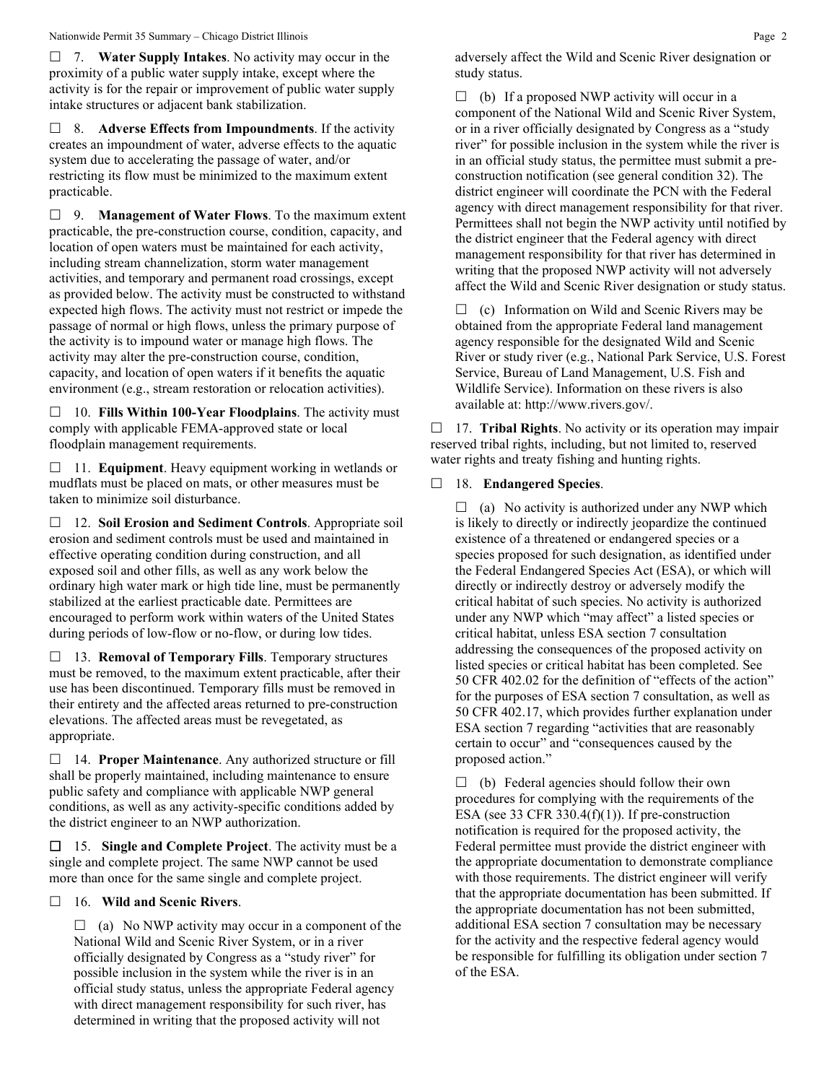7. **Water Supply Intakes**. No activity may occur in the proximity of a public water supply intake, except where the activity is for the repair or improvement of public water supply intake structures or adjacent bank stabilization.

 8. **Adverse Effects from Impoundments**. If the activity creates an impoundment of water, adverse effects to the aquatic system due to accelerating the passage of water, and/or restricting its flow must be minimized to the maximum extent practicable.

 9. **Management of Water Flows**. To the maximum extent practicable, the pre-construction course, condition, capacity, and location of open waters must be maintained for each activity, including stream channelization, storm water management activities, and temporary and permanent road crossings, except as provided below. The activity must be constructed to withstand expected high flows. The activity must not restrict or impede the passage of normal or high flows, unless the primary purpose of the activity is to impound water or manage high flows. The activity may alter the pre-construction course, condition, capacity, and location of open waters if it benefits the aquatic environment (e.g., stream restoration or relocation activities).

 10. **Fills Within 100-Year Floodplains**. The activity must comply with applicable FEMA-approved state or local floodplain management requirements.

□ 11. **Equipment**. Heavy equipment working in wetlands or mudflats must be placed on mats, or other measures must be taken to minimize soil disturbance.

 12. **Soil Erosion and Sediment Controls**. Appropriate soil erosion and sediment controls must be used and maintained in effective operating condition during construction, and all exposed soil and other fills, as well as any work below the ordinary high water mark or high tide line, must be permanently stabilized at the earliest practicable date. Permittees are encouraged to perform work within waters of the United States during periods of low-flow or no-flow, or during low tides.

 13. **Removal of Temporary Fills**. Temporary structures must be removed, to the maximum extent practicable, after their use has been discontinued. Temporary fills must be removed in their entirety and the affected areas returned to pre-construction elevations. The affected areas must be revegetated, as appropriate.

 14. **Proper Maintenance**. Any authorized structure or fill shall be properly maintained, including maintenance to ensure public safety and compliance with applicable NWP general conditions, as well as any activity-specific conditions added by the district engineer to an NWP authorization.

 15. **Single and Complete Project**. The activity must be a single and complete project. The same NWP cannot be used more than once for the same single and complete project.

#### 16. **Wild and Scenic Rivers**.

 $\Box$  (a) No NWP activity may occur in a component of the National Wild and Scenic River System, or in a river officially designated by Congress as a "study river" for possible inclusion in the system while the river is in an official study status, unless the appropriate Federal agency with direct management responsibility for such river, has determined in writing that the proposed activity will not

adversely affect the Wild and Scenic River designation or study status.

 $\Box$  (b) If a proposed NWP activity will occur in a component of the National Wild and Scenic River System, or in a river officially designated by Congress as a "study river" for possible inclusion in the system while the river is in an official study status, the permittee must submit a preconstruction notification (see general condition 32). The district engineer will coordinate the PCN with the Federal agency with direct management responsibility for that river. Permittees shall not begin the NWP activity until notified by the district engineer that the Federal agency with direct management responsibility for that river has determined in writing that the proposed NWP activity will not adversely affect the Wild and Scenic River designation or study status.

 $\Box$  (c) Information on Wild and Scenic Rivers may be obtained from the appropriate Federal land management agency responsible for the designated Wild and Scenic River or study river (e.g., National Park Service, U.S. Forest Service, Bureau of Land Management, U.S. Fish and Wildlife Service). Information on these rivers is also available at: http://www.rivers.gov/.

 17. **Tribal Rights**. No activity or its operation may impair reserved tribal rights, including, but not limited to, reserved water rights and treaty fishing and hunting rights.

## 18. **Endangered Species**.

 $\Box$  (a) No activity is authorized under any NWP which is likely to directly or indirectly jeopardize the continued existence of a threatened or endangered species or a species proposed for such designation, as identified under the Federal Endangered Species Act (ESA), or which will directly or indirectly destroy or adversely modify the critical habitat of such species. No activity is authorized under any NWP which "may affect" a listed species or critical habitat, unless ESA section 7 consultation addressing the consequences of the proposed activity on listed species or critical habitat has been completed. See 50 CFR 402.02 for the definition of "effects of the action" for the purposes of ESA section 7 consultation, as well as 50 CFR 402.17, which provides further explanation under ESA section 7 regarding "activities that are reasonably certain to occur" and "consequences caused by the proposed action."

 $\Box$  (b) Federal agencies should follow their own procedures for complying with the requirements of the ESA (see 33 CFR 330.4 $(f)(1)$ ). If pre-construction notification is required for the proposed activity, the Federal permittee must provide the district engineer with the appropriate documentation to demonstrate compliance with those requirements. The district engineer will verify that the appropriate documentation has been submitted. If the appropriate documentation has not been submitted, additional ESA section 7 consultation may be necessary for the activity and the respective federal agency would be responsible for fulfilling its obligation under section 7 of the ESA.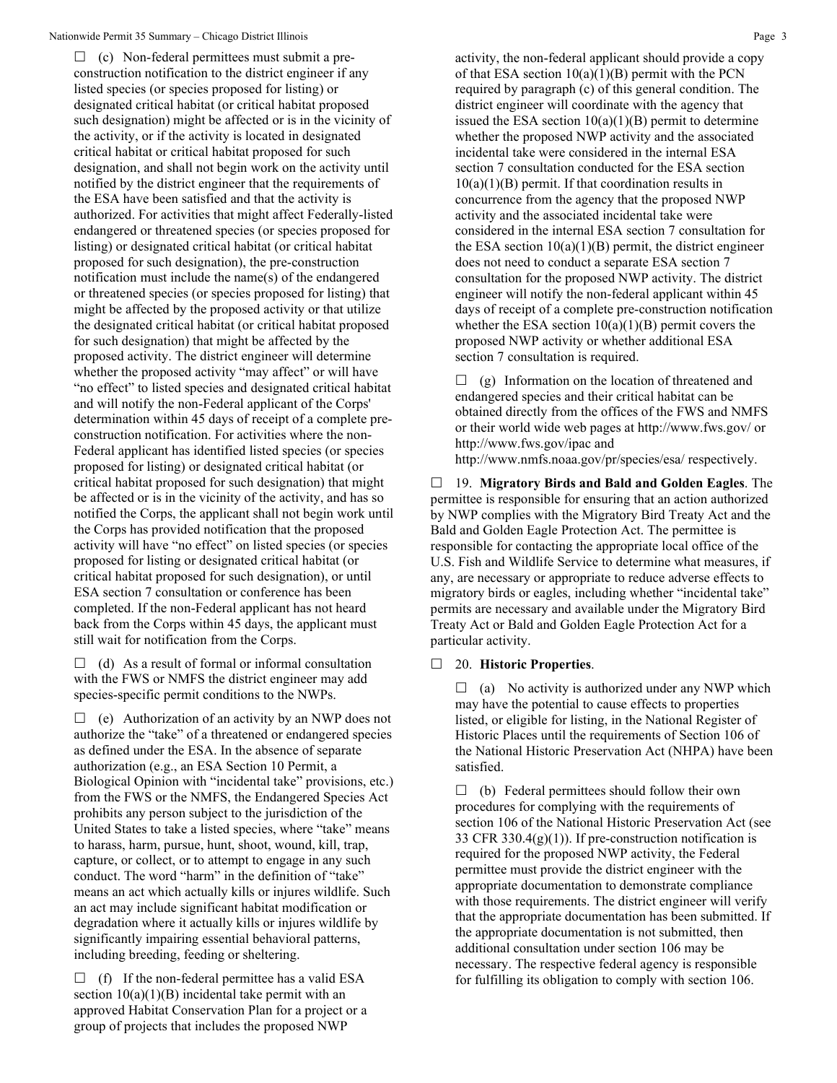#### Nationwide Permit 35 Summary – Chicago District Illinois **Page 3** Alternative Page 3 **Page 3** Alternative Permit 35 Summary – Chicago District Illinois **Page 3**

 $\Box$  (c) Non-federal permittees must submit a preconstruction notification to the district engineer if any listed species (or species proposed for listing) or designated critical habitat (or critical habitat proposed such designation) might be affected or is in the vicinity of the activity, or if the activity is located in designated critical habitat or critical habitat proposed for such designation, and shall not begin work on the activity until notified by the district engineer that the requirements of the ESA have been satisfied and that the activity is authorized. For activities that might affect Federally-listed endangered or threatened species (or species proposed for listing) or designated critical habitat (or critical habitat proposed for such designation), the pre-construction notification must include the name(s) of the endangered or threatened species (or species proposed for listing) that might be affected by the proposed activity or that utilize the designated critical habitat (or critical habitat proposed for such designation) that might be affected by the proposed activity. The district engineer will determine whether the proposed activity "may affect" or will have "no effect" to listed species and designated critical habitat and will notify the non-Federal applicant of the Corps' determination within 45 days of receipt of a complete preconstruction notification. For activities where the non-Federal applicant has identified listed species (or species proposed for listing) or designated critical habitat (or critical habitat proposed for such designation) that might be affected or is in the vicinity of the activity, and has so notified the Corps, the applicant shall not begin work until the Corps has provided notification that the proposed activity will have "no effect" on listed species (or species proposed for listing or designated critical habitat (or critical habitat proposed for such designation), or until ESA section 7 consultation or conference has been completed. If the non-Federal applicant has not heard back from the Corps within 45 days, the applicant must still wait for notification from the Corps.

 $\Box$  (d) As a result of formal or informal consultation with the FWS or NMFS the district engineer may add species-specific permit conditions to the NWPs.

 $\Box$  (e) Authorization of an activity by an NWP does not authorize the "take" of a threatened or endangered species as defined under the ESA. In the absence of separate authorization (e.g., an ESA Section 10 Permit, a Biological Opinion with "incidental take" provisions, etc.) from the FWS or the NMFS, the Endangered Species Act prohibits any person subject to the jurisdiction of the United States to take a listed species, where "take" means to harass, harm, pursue, hunt, shoot, wound, kill, trap, capture, or collect, or to attempt to engage in any such conduct. The word "harm" in the definition of "take" means an act which actually kills or injures wildlife. Such an act may include significant habitat modification or degradation where it actually kills or injures wildlife by significantly impairing essential behavioral patterns, including breeding, feeding or sheltering.

 $\Box$  (f) If the non-federal permittee has a valid ESA section  $10(a)(1)(B)$  incidental take permit with an approved Habitat Conservation Plan for a project or a group of projects that includes the proposed NWP

activity, the non-federal applicant should provide a copy of that ESA section  $10(a)(1)(B)$  permit with the PCN required by paragraph (c) of this general condition. The district engineer will coordinate with the agency that issued the ESA section  $10(a)(1)(B)$  permit to determine whether the proposed NWP activity and the associated incidental take were considered in the internal ESA section 7 consultation conducted for the ESA section  $10(a)(1)(B)$  permit. If that coordination results in concurrence from the agency that the proposed NWP activity and the associated incidental take were considered in the internal ESA section 7 consultation for the ESA section  $10(a)(1)(B)$  permit, the district engineer does not need to conduct a separate ESA section 7 consultation for the proposed NWP activity. The district engineer will notify the non-federal applicant within 45 days of receipt of a complete pre-construction notification whether the ESA section  $10(a)(1)(B)$  permit covers the proposed NWP activity or whether additional ESA section 7 consultation is required.

 $\Box$  (g) Information on the location of threatened and endangered species and their critical habitat can be obtained directly from the offices of the FWS and NMFS or their world wide web pages at http://www.fws.gov/ or http://www.fws.gov/ipac and

http://www.nmfs.noaa.gov/pr/species/esa/ respectively.

 19. **Migratory Birds and Bald and Golden Eagles**. The permittee is responsible for ensuring that an action authorized by NWP complies with the Migratory Bird Treaty Act and the Bald and Golden Eagle Protection Act. The permittee is responsible for contacting the appropriate local office of the U.S. Fish and Wildlife Service to determine what measures, if any, are necessary or appropriate to reduce adverse effects to migratory birds or eagles, including whether "incidental take" permits are necessary and available under the Migratory Bird Treaty Act or Bald and Golden Eagle Protection Act for a particular activity.

#### 20. **Historic Properties**.

 $\Box$  (a) No activity is authorized under any NWP which may have the potential to cause effects to properties listed, or eligible for listing, in the National Register of Historic Places until the requirements of Section 106 of the National Historic Preservation Act (NHPA) have been satisfied.

 $\Box$  (b) Federal permittees should follow their own procedures for complying with the requirements of section 106 of the National Historic Preservation Act (see 33 CFR 330.4 $(g)(1)$ ). If pre-construction notification is required for the proposed NWP activity, the Federal permittee must provide the district engineer with the appropriate documentation to demonstrate compliance with those requirements. The district engineer will verify that the appropriate documentation has been submitted. If the appropriate documentation is not submitted, then additional consultation under section 106 may be necessary. The respective federal agency is responsible for fulfilling its obligation to comply with section 106.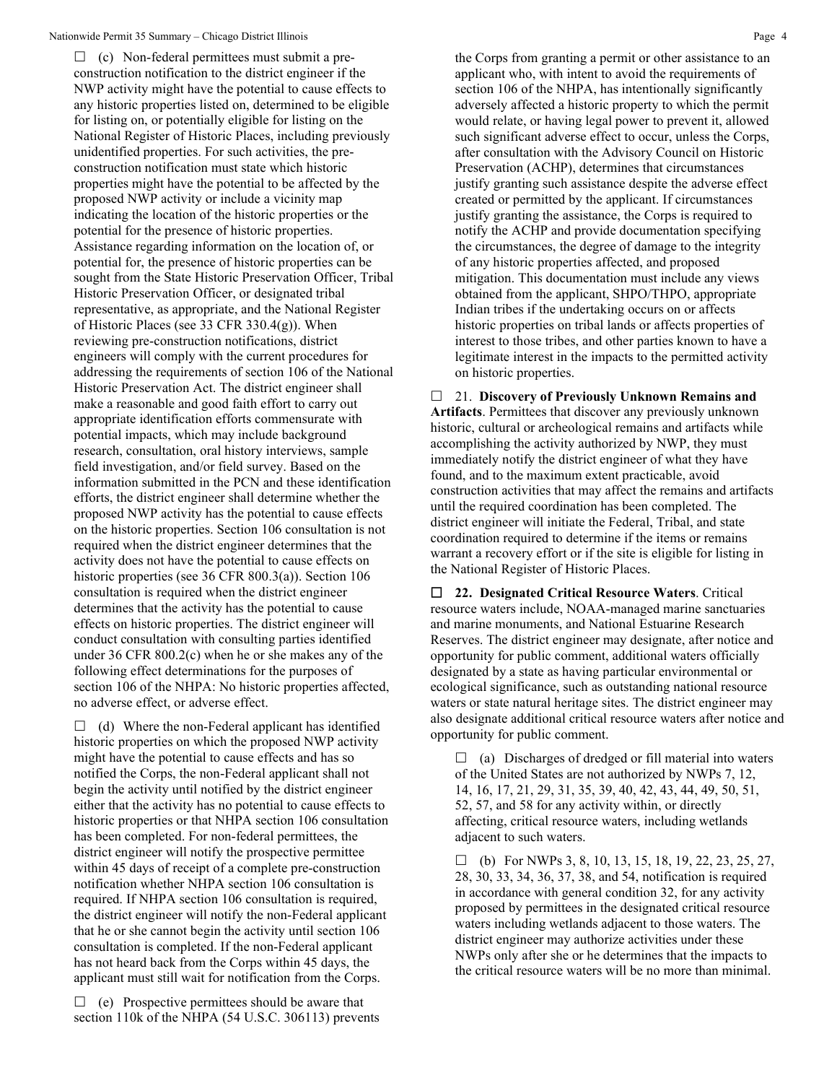$\Box$  (c) Non-federal permittees must submit a preconstruction notification to the district engineer if the NWP activity might have the potential to cause effects to any historic properties listed on, determined to be eligible for listing on, or potentially eligible for listing on the National Register of Historic Places, including previously unidentified properties. For such activities, the preconstruction notification must state which historic properties might have the potential to be affected by the proposed NWP activity or include a vicinity map indicating the location of the historic properties or the potential for the presence of historic properties. Assistance regarding information on the location of, or potential for, the presence of historic properties can be sought from the State Historic Preservation Officer, Tribal Historic Preservation Officer, or designated tribal representative, as appropriate, and the National Register of Historic Places (see 33 CFR 330.4(g)). When reviewing pre-construction notifications, district engineers will comply with the current procedures for addressing the requirements of section 106 of the National Historic Preservation Act. The district engineer shall make a reasonable and good faith effort to carry out appropriate identification efforts commensurate with potential impacts, which may include background research, consultation, oral history interviews, sample field investigation, and/or field survey. Based on the information submitted in the PCN and these identification efforts, the district engineer shall determine whether the proposed NWP activity has the potential to cause effects on the historic properties. Section 106 consultation is not required when the district engineer determines that the activity does not have the potential to cause effects on historic properties (see 36 CFR 800.3(a)). Section 106 consultation is required when the district engineer determines that the activity has the potential to cause effects on historic properties. The district engineer will conduct consultation with consulting parties identified under 36 CFR 800.2(c) when he or she makes any of the following effect determinations for the purposes of section 106 of the NHPA: No historic properties affected, no adverse effect, or adverse effect.

 $\Box$  (d) Where the non-Federal applicant has identified historic properties on which the proposed NWP activity might have the potential to cause effects and has so notified the Corps, the non-Federal applicant shall not begin the activity until notified by the district engineer either that the activity has no potential to cause effects to historic properties or that NHPA section 106 consultation has been completed. For non-federal permittees, the district engineer will notify the prospective permittee within 45 days of receipt of a complete pre-construction notification whether NHPA section 106 consultation is required. If NHPA section 106 consultation is required, the district engineer will notify the non-Federal applicant that he or she cannot begin the activity until section 106 consultation is completed. If the non-Federal applicant has not heard back from the Corps within 45 days, the applicant must still wait for notification from the Corps.

 $\Box$  (e) Prospective permittees should be aware that section 110k of the NHPA (54 U.S.C. 306113) prevents the Corps from granting a permit or other assistance to an applicant who, with intent to avoid the requirements of section 106 of the NHPA, has intentionally significantly adversely affected a historic property to which the permit would relate, or having legal power to prevent it, allowed such significant adverse effect to occur, unless the Corps, after consultation with the Advisory Council on Historic Preservation (ACHP), determines that circumstances justify granting such assistance despite the adverse effect created or permitted by the applicant. If circumstances justify granting the assistance, the Corps is required to notify the ACHP and provide documentation specifying the circumstances, the degree of damage to the integrity of any historic properties affected, and proposed mitigation. This documentation must include any views obtained from the applicant, SHPO/THPO, appropriate Indian tribes if the undertaking occurs on or affects historic properties on tribal lands or affects properties of interest to those tribes, and other parties known to have a legitimate interest in the impacts to the permitted activity on historic properties.

 21. **Discovery of Previously Unknown Remains and Artifacts**. Permittees that discover any previously unknown historic, cultural or archeological remains and artifacts while accomplishing the activity authorized by NWP, they must immediately notify the district engineer of what they have found, and to the maximum extent practicable, avoid construction activities that may affect the remains and artifacts until the required coordination has been completed. The district engineer will initiate the Federal, Tribal, and state coordination required to determine if the items or remains warrant a recovery effort or if the site is eligible for listing in the National Register of Historic Places.

 **22. Designated Critical Resource Waters**. Critical resource waters include, NOAA-managed marine sanctuaries and marine monuments, and National Estuarine Research Reserves. The district engineer may designate, after notice and opportunity for public comment, additional waters officially designated by a state as having particular environmental or ecological significance, such as outstanding national resource waters or state natural heritage sites. The district engineer may also designate additional critical resource waters after notice and opportunity for public comment.

 $\Box$  (a) Discharges of dredged or fill material into waters of the United States are not authorized by NWPs 7, 12, 14, 16, 17, 21, 29, 31, 35, 39, 40, 42, 43, 44, 49, 50, 51, 52, 57, and 58 for any activity within, or directly affecting, critical resource waters, including wetlands adjacent to such waters.

 $\Box$  (b) For NWPs 3, 8, 10, 13, 15, 18, 19, 22, 23, 25, 27, 28, 30, 33, 34, 36, 37, 38, and 54, notification is required in accordance with general condition 32, for any activity proposed by permittees in the designated critical resource waters including wetlands adjacent to those waters. The district engineer may authorize activities under these NWPs only after she or he determines that the impacts to the critical resource waters will be no more than minimal.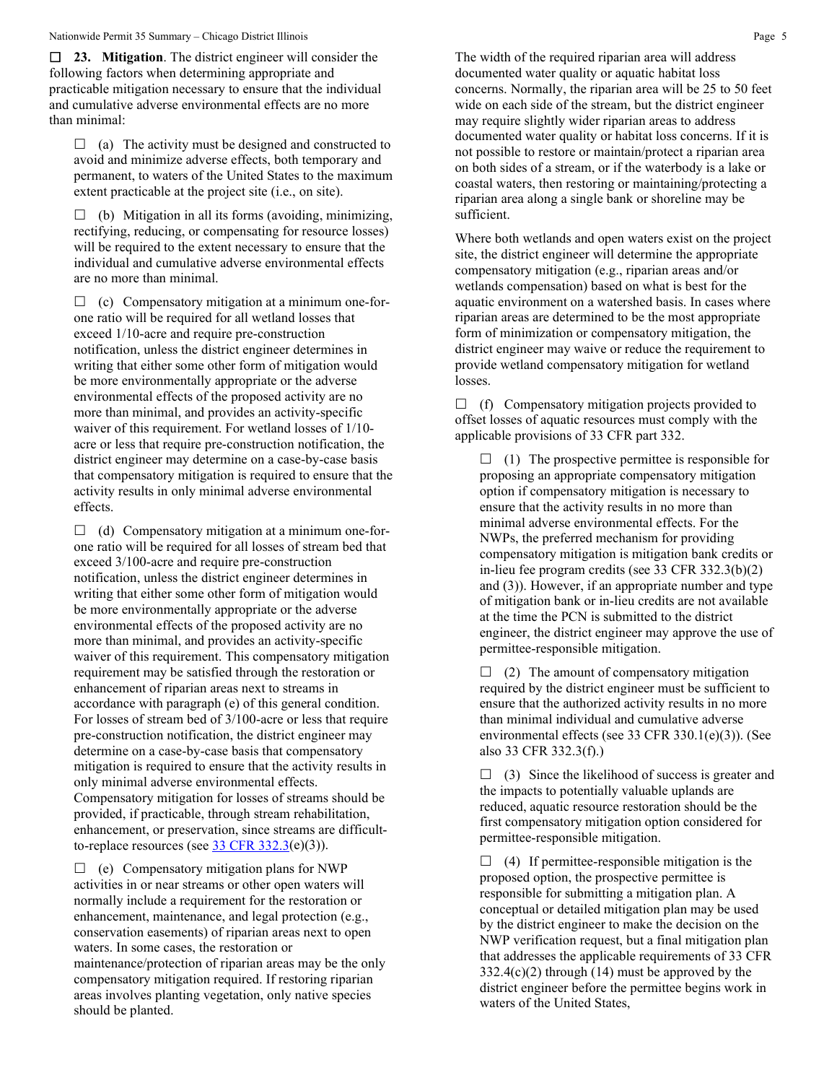**23. Mitigation**. The district engineer will consider the following factors when determining appropriate and practicable mitigation necessary to ensure that the individual and cumulative adverse environmental effects are no more than minimal:

 $\Box$  (a) The activity must be designed and constructed to avoid and minimize adverse effects, both temporary and permanent, to waters of the United States to the maximum extent practicable at the project site (i.e., on site).

 $\Box$  (b) Mitigation in all its forms (avoiding, minimizing, rectifying, reducing, or compensating for resource losses) will be required to the extent necessary to ensure that the individual and cumulative adverse environmental effects are no more than minimal.

 $\Box$  (c) Compensatory mitigation at a minimum one-forone ratio will be required for all wetland losses that exceed 1/10-acre and require pre-construction notification, unless the district engineer determines in writing that either some other form of mitigation would be more environmentally appropriate or the adverse environmental effects of the proposed activity are no more than minimal, and provides an activity-specific waiver of this requirement. For wetland losses of 1/10 acre or less that require pre-construction notification, the district engineer may determine on a case-by-case basis that compensatory mitigation is required to ensure that the activity results in only minimal adverse environmental effects.

 $\Box$  (d) Compensatory mitigation at a minimum one-forone ratio will be required for all losses of stream bed that exceed 3/100-acre and require pre-construction notification, unless the district engineer determines in writing that either some other form of mitigation would be more environmentally appropriate or the adverse environmental effects of the proposed activity are no more than minimal, and provides an activity-specific waiver of this requirement. This compensatory mitigation requirement may be satisfied through the restoration or enhancement of riparian areas next to streams in accordance with paragraph (e) of this general condition. For losses of stream bed of 3/100-acre or less that require pre-construction notification, the district engineer may determine on a case-by-case basis that compensatory mitigation is required to ensure that the activity results in only minimal adverse environmental effects. Compensatory mitigation for losses of streams should be provided, if practicable, through stream rehabilitation, enhancement, or preservation, since streams are difficultto-replace resources (see  $33 \text{ CFR } 332.3(e)(3)$ ).

 $\Box$  (e) Compensatory mitigation plans for NWP activities in or near streams or other open waters will normally include a requirement for the restoration or enhancement, maintenance, and legal protection (e.g., conservation easements) of riparian areas next to open waters. In some cases, the restoration or maintenance/protection of riparian areas may be the only compensatory mitigation required. If restoring riparian areas involves planting vegetation, only native species should be planted.

The width of the required riparian area will address documented water quality or aquatic habitat loss concerns. Normally, the riparian area will be 25 to 50 feet wide on each side of the stream, but the district engineer may require slightly wider riparian areas to address documented water quality or habitat loss concerns. If it is not possible to restore or maintain/protect a riparian area on both sides of a stream, or if the waterbody is a lake or coastal waters, then restoring or maintaining/protecting a riparian area along a single bank or shoreline may be sufficient.

Where both wetlands and open waters exist on the project site, the district engineer will determine the appropriate compensatory mitigation (e.g., riparian areas and/or wetlands compensation) based on what is best for the aquatic environment on a watershed basis. In cases where riparian areas are determined to be the most appropriate form of minimization or compensatory mitigation, the district engineer may waive or reduce the requirement to provide wetland compensatory mitigation for wetland losses.

 $\Box$  (f) Compensatory mitigation projects provided to offset losses of aquatic resources must comply with the applicable provisions of 33 CFR part 332.

 $\Box$  (1) The prospective permittee is responsible for proposing an appropriate compensatory mitigation option if compensatory mitigation is necessary to ensure that the activity results in no more than minimal adverse environmental effects. For the NWPs, the preferred mechanism for providing compensatory mitigation is mitigation bank credits or in-lieu fee program credits (see 33 CFR 332.3(b)(2) and (3)). However, if an appropriate number and type of mitigation bank or in-lieu credits are not available at the time the PCN is submitted to the district engineer, the district engineer may approve the use of permittee-responsible mitigation.

 $\Box$  (2) The amount of compensatory mitigation required by the district engineer must be sufficient to ensure that the authorized activity results in no more than minimal individual and cumulative adverse environmental effects (see 33 CFR 330.1(e)(3)). (See also 33 CFR 332.3(f).)

 $\Box$  (3) Since the likelihood of success is greater and the impacts to potentially valuable uplands are reduced, aquatic resource restoration should be the first compensatory mitigation option considered for permittee-responsible mitigation.

 $\Box$  (4) If permittee-responsible mitigation is the proposed option, the prospective permittee is responsible for submitting a mitigation plan. A conceptual or detailed mitigation plan may be used by the district engineer to make the decision on the NWP verification request, but a final mitigation plan that addresses the applicable requirements of 33 CFR  $332.4(c)(2)$  through (14) must be approved by the district engineer before the permittee begins work in waters of the United States,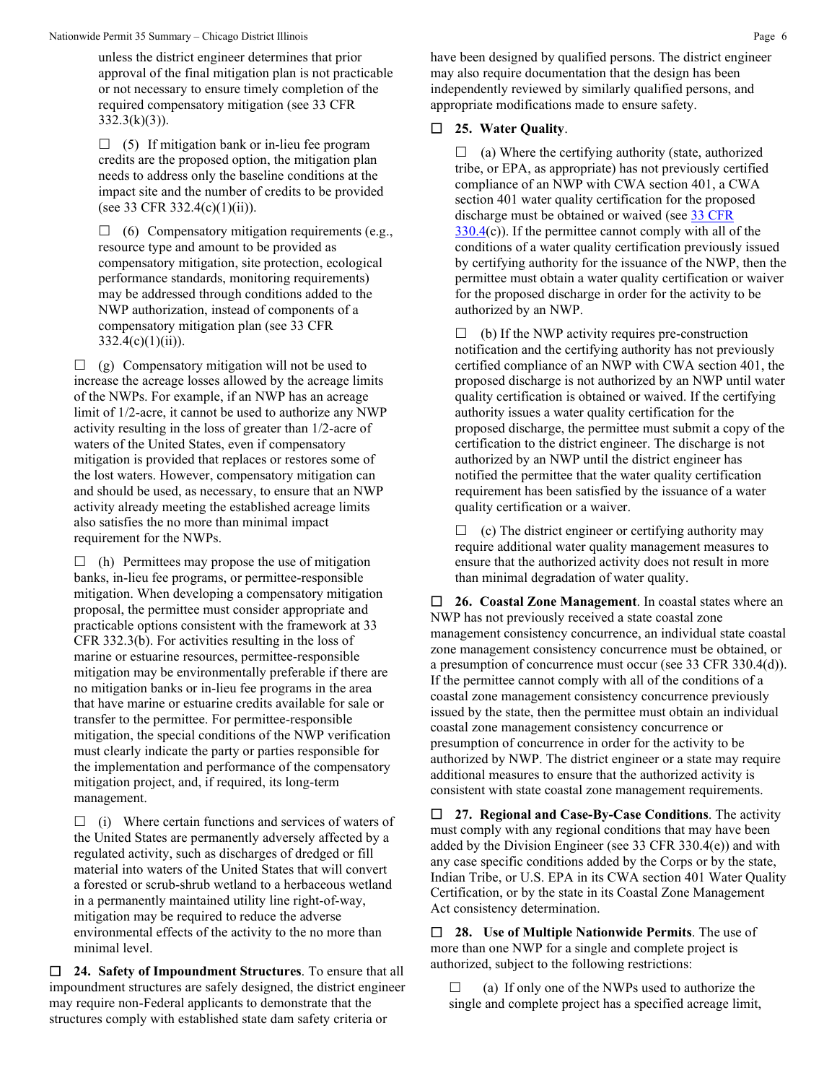unless the district engineer determines that prior approval of the final mitigation plan is not practicable or not necessary to ensure timely completion of the required compensatory mitigation (see 33 CFR  $332.3(k)(3)$ ).

 $\Box$  (5) If mitigation bank or in-lieu fee program credits are the proposed option, the mitigation plan needs to address only the baseline conditions at the impact site and the number of credits to be provided (see 33 CFR 332.4(c)(1)(ii)).

 $\Box$  (6) Compensatory mitigation requirements (e.g., resource type and amount to be provided as compensatory mitigation, site protection, ecological performance standards, monitoring requirements) may be addressed through conditions added to the NWP authorization, instead of components of a compensatory mitigation plan (see 33 CFR  $332.4(c)(1)(ii)$ .

 $\Box$  (g) Compensatory mitigation will not be used to increase the acreage losses allowed by the acreage limits of the NWPs. For example, if an NWP has an acreage limit of 1/2-acre, it cannot be used to authorize any NWP activity resulting in the loss of greater than 1/2-acre of waters of the United States, even if compensatory mitigation is provided that replaces or restores some of the lost waters. However, compensatory mitigation can and should be used, as necessary, to ensure that an NWP activity already meeting the established acreage limits also satisfies the no more than minimal impact requirement for the NWPs.

 $\Box$  (h) Permittees may propose the use of mitigation banks, in-lieu fee programs, or permittee-responsible mitigation. When developing a compensatory mitigation proposal, the permittee must consider appropriate and practicable options consistent with the framework at 33 CFR 332.3(b). For activities resulting in the loss of marine or estuarine resources, permittee-responsible mitigation may be environmentally preferable if there are no mitigation banks or in-lieu fee programs in the area that have marine or estuarine credits available for sale or transfer to the permittee. For permittee-responsible mitigation, the special conditions of the NWP verification must clearly indicate the party or parties responsible for the implementation and performance of the compensatory mitigation project, and, if required, its long-term management.

 $\Box$  (i) Where certain functions and services of waters of the United States are permanently adversely affected by a regulated activity, such as discharges of dredged or fill material into waters of the United States that will convert a forested or scrub-shrub wetland to a herbaceous wetland in a permanently maintained utility line right-of-way, mitigation may be required to reduce the adverse environmental effects of the activity to the no more than minimal level.

 **24. Safety of Impoundment Structures**. To ensure that all impoundment structures are safely designed, the district engineer may require non-Federal applicants to demonstrate that the structures comply with established state dam safety criteria or

have been designed by qualified persons. The district engineer may also require documentation that the design has been independently reviewed by similarly qualified persons, and appropriate modifications made to ensure safety.

### **25. Water Quality**.

 $\Box$  (a) Where the certifying authority (state, authorized tribe, or EPA, as appropriate) has not previously certified compliance of an NWP with CWA section 401, a CWA section 401 water quality certification for the proposed discharge must be obtained or waived (see [33 CFR](https://www.federalregister.gov/select-citation/2021/01/13/33-CFR-330.4)  [330.4\(](https://www.federalregister.gov/select-citation/2021/01/13/33-CFR-330.4)c)). If the permittee cannot comply with all of the conditions of a water quality certification previously issued by certifying authority for the issuance of the NWP, then the permittee must obtain a water quality certification or waiver for the proposed discharge in order for the activity to be authorized by an NWP.

 $\Box$  (b) If the NWP activity requires pre-construction notification and the certifying authority has not previously certified compliance of an NWP with CWA section 401, the proposed discharge is not authorized by an NWP until water quality certification is obtained or waived. If the certifying authority issues a water quality certification for the proposed discharge, the permittee must submit a copy of the certification to the district engineer. The discharge is not authorized by an NWP until the district engineer has notified the permittee that the water quality certification requirement has been satisfied by the issuance of a water quality certification or a waiver.

 $\Box$  (c) The district engineer or certifying authority may require additional water quality management measures to ensure that the authorized activity does not result in more than minimal degradation of water quality.

 **26. Coastal Zone Management**. In coastal states where an NWP has not previously received a state coastal zone management consistency concurrence, an individual state coastal zone management consistency concurrence must be obtained, or a presumption of concurrence must occur (see 33 CFR 330.4(d)). If the permittee cannot comply with all of the conditions of a coastal zone management consistency concurrence previously issued by the state, then the permittee must obtain an individual coastal zone management consistency concurrence or presumption of concurrence in order for the activity to be authorized by NWP. The district engineer or a state may require additional measures to ensure that the authorized activity is consistent with state coastal zone management requirements.

 **27. Regional and Case-By-Case Conditions**. The activity must comply with any regional conditions that may have been added by the Division Engineer (see 33 CFR 330.4(e)) and with any case specific conditions added by the Corps or by the state, Indian Tribe, or U.S. EPA in its CWA section 401 Water Quality Certification, or by the state in its Coastal Zone Management Act consistency determination.

 **28. Use of Multiple Nationwide Permits**. The use of more than one NWP for a single and complete project is authorized, subject to the following restrictions:

 $\Box$  (a) If only one of the NWPs used to authorize the single and complete project has a specified acreage limit,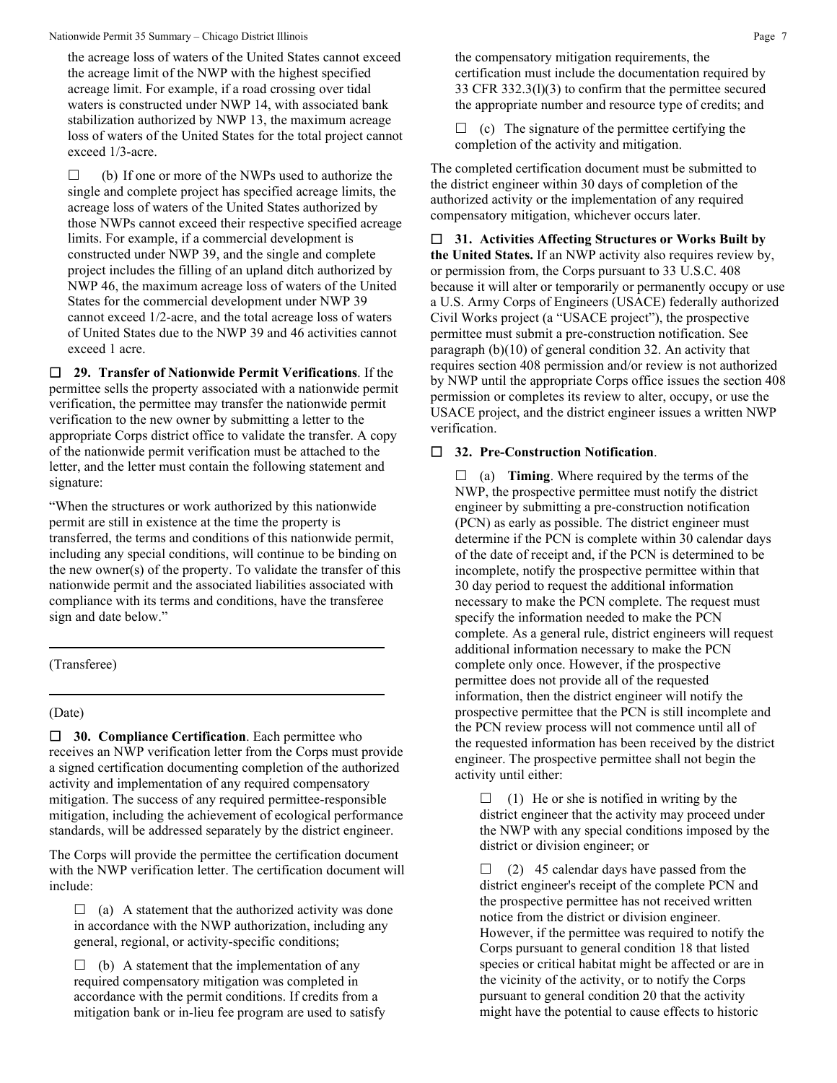Nationwide Permit 35 Summary – Chicago District Illinois Page 7

the acreage loss of waters of the United States cannot exceed the acreage limit of the NWP with the highest specified acreage limit. For example, if a road crossing over tidal waters is constructed under NWP 14, with associated bank stabilization authorized by NWP 13, the maximum acreage loss of waters of the United States for the total project cannot exceed 1/3-acre.

 $\Box$  (b) If one or more of the NWPs used to authorize the single and complete project has specified acreage limits, the acreage loss of waters of the United States authorized by those NWPs cannot exceed their respective specified acreage limits. For example, if a commercial development is constructed under NWP 39, and the single and complete project includes the filling of an upland ditch authorized by NWP 46, the maximum acreage loss of waters of the United States for the commercial development under NWP 39 cannot exceed 1/2-acre, and the total acreage loss of waters of United States due to the NWP 39 and 46 activities cannot exceed 1 acre.

 **29. Transfer of Nationwide Permit Verifications**. If the permittee sells the property associated with a nationwide permit verification, the permittee may transfer the nationwide permit verification to the new owner by submitting a letter to the appropriate Corps district office to validate the transfer. A copy of the nationwide permit verification must be attached to the letter, and the letter must contain the following statement and signature:

"When the structures or work authorized by this nationwide permit are still in existence at the time the property is transferred, the terms and conditions of this nationwide permit, including any special conditions, will continue to be binding on the new owner(s) of the property. To validate the transfer of this nationwide permit and the associated liabilities associated with compliance with its terms and conditions, have the transferee sign and date below."

(Transferee)

## (Date)

 **30. Compliance Certification**. Each permittee who receives an NWP verification letter from the Corps must provide a signed certification documenting completion of the authorized activity and implementation of any required compensatory mitigation. The success of any required permittee-responsible mitigation, including the achievement of ecological performance standards, will be addressed separately by the district engineer.

The Corps will provide the permittee the certification document with the NWP verification letter. The certification document will include:

 $\Box$  (a) A statement that the authorized activity was done in accordance with the NWP authorization, including any general, regional, or activity-specific conditions;

 $\Box$  (b) A statement that the implementation of any required compensatory mitigation was completed in accordance with the permit conditions. If credits from a mitigation bank or in-lieu fee program are used to satisfy the compensatory mitigation requirements, the certification must include the documentation required by 33 CFR 332.3(l)(3) to confirm that the permittee secured the appropriate number and resource type of credits; and

 $\Box$  (c) The signature of the permittee certifying the completion of the activity and mitigation.

The completed certification document must be submitted to the district engineer within 30 days of completion of the authorized activity or the implementation of any required compensatory mitigation, whichever occurs later.

 **31. Activities Affecting Structures or Works Built by the United States.** If an NWP activity also requires review by, or permission from, the Corps pursuant to 33 U.S.C. 408 because it will alter or temporarily or permanently occupy or use a U.S. Army Corps of Engineers (USACE) federally authorized Civil Works project (a "USACE project"), the prospective permittee must submit a pre-construction notification. See paragraph (b)(10) of general condition 32. An activity that requires section 408 permission and/or review is not authorized by NWP until the appropriate Corps office issues the section 408 permission or completes its review to alter, occupy, or use the USACE project, and the district engineer issues a written NWP verification.

## **32. Pre-Construction Notification**.

 $\Box$  (a) **Timing**. Where required by the terms of the NWP, the prospective permittee must notify the district engineer by submitting a pre-construction notification (PCN) as early as possible. The district engineer must determine if the PCN is complete within 30 calendar days of the date of receipt and, if the PCN is determined to be incomplete, notify the prospective permittee within that 30 day period to request the additional information necessary to make the PCN complete. The request must specify the information needed to make the PCN complete. As a general rule, district engineers will request additional information necessary to make the PCN complete only once. However, if the prospective permittee does not provide all of the requested information, then the district engineer will notify the prospective permittee that the PCN is still incomplete and the PCN review process will not commence until all of the requested information has been received by the district engineer. The prospective permittee shall not begin the activity until either:

 $\Box$  (1) He or she is notified in writing by the district engineer that the activity may proceed under the NWP with any special conditions imposed by the district or division engineer; or

 $\Box$  (2) 45 calendar days have passed from the district engineer's receipt of the complete PCN and the prospective permittee has not received written notice from the district or division engineer. However, if the permittee was required to notify the Corps pursuant to general condition 18 that listed species or critical habitat might be affected or are in the vicinity of the activity, or to notify the Corps pursuant to general condition 20 that the activity might have the potential to cause effects to historic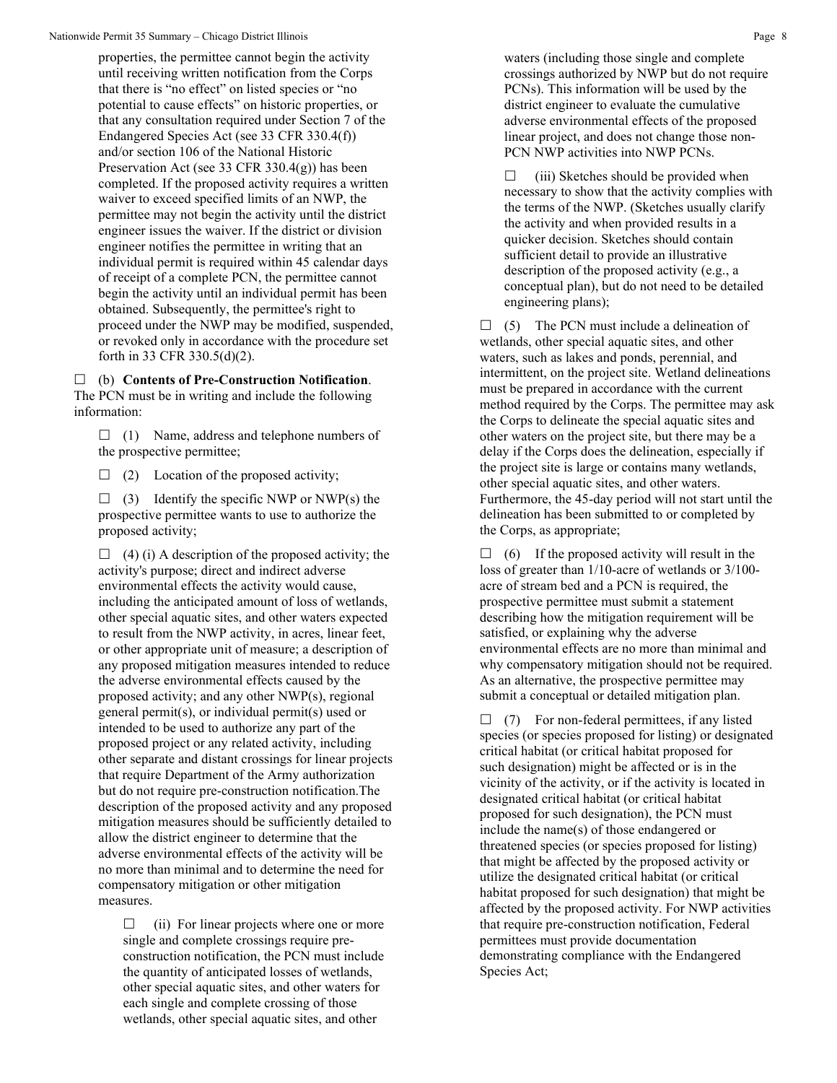properties, the permittee cannot begin the activity until receiving written notification from the Corps that there is "no effect" on listed species or "no potential to cause effects" on historic properties, or that any consultation required under Section 7 of the Endangered Species Act (see 33 CFR 330.4(f)) and/or section 106 of the National Historic Preservation Act (see 33 CFR 330.4(g)) has been completed. If the proposed activity requires a written waiver to exceed specified limits of an NWP, the permittee may not begin the activity until the district engineer issues the waiver. If the district or division engineer notifies the permittee in writing that an individual permit is required within 45 calendar days of receipt of a complete PCN, the permittee cannot begin the activity until an individual permit has been obtained. Subsequently, the permittee's right to proceed under the NWP may be modified, suspended, or revoked only in accordance with the procedure set forth in 33 CFR 330.5(d)(2).

 (b) **Contents of Pre-Construction Notification**. The PCN must be in writing and include the following information:

 $\Box$  (1) Name, address and telephone numbers of the prospective permittee;

 $\Box$  (2) Location of the proposed activity;

 $\Box$  (3) Identify the specific NWP or NWP(s) the prospective permittee wants to use to authorize the proposed activity;

 $\Box$  (4) (i) A description of the proposed activity; the activity's purpose; direct and indirect adverse environmental effects the activity would cause, including the anticipated amount of loss of wetlands, other special aquatic sites, and other waters expected to result from the NWP activity, in acres, linear feet, or other appropriate unit of measure; a description of any proposed mitigation measures intended to reduce the adverse environmental effects caused by the proposed activity; and any other NWP(s), regional general permit(s), or individual permit(s) used or intended to be used to authorize any part of the proposed project or any related activity, including other separate and distant crossings for linear projects that require Department of the Army authorization but do not require pre-construction notification.The description of the proposed activity and any proposed mitigation measures should be sufficiently detailed to allow the district engineer to determine that the adverse environmental effects of the activity will be no more than minimal and to determine the need for compensatory mitigation or other mitigation measures.

 $\Box$  (ii) For linear projects where one or more single and complete crossings require preconstruction notification, the PCN must include the quantity of anticipated losses of wetlands, other special aquatic sites, and other waters for each single and complete crossing of those wetlands, other special aquatic sites, and other

waters (including those single and complete crossings authorized by NWP but do not require PCNs). This information will be used by the district engineer to evaluate the cumulative adverse environmental effects of the proposed linear project, and does not change those non-PCN NWP activities into NWP PCNs.

 $\Box$  (iii) Sketches should be provided when necessary to show that the activity complies with the terms of the NWP. (Sketches usually clarify the activity and when provided results in a quicker decision. Sketches should contain sufficient detail to provide an illustrative description of the proposed activity (e.g., a conceptual plan), but do not need to be detailed engineering plans);

 $\Box$  (5) The PCN must include a delineation of wetlands, other special aquatic sites, and other waters, such as lakes and ponds, perennial, and intermittent, on the project site. Wetland delineations must be prepared in accordance with the current method required by the Corps. The permittee may ask the Corps to delineate the special aquatic sites and other waters on the project site, but there may be a delay if the Corps does the delineation, especially if the project site is large or contains many wetlands, other special aquatic sites, and other waters. Furthermore, the 45-day period will not start until the delineation has been submitted to or completed by the Corps, as appropriate;

 $\Box$  (6) If the proposed activity will result in the loss of greater than 1/10-acre of wetlands or 3/100 acre of stream bed and a PCN is required, the prospective permittee must submit a statement describing how the mitigation requirement will be satisfied, or explaining why the adverse environmental effects are no more than minimal and why compensatory mitigation should not be required. As an alternative, the prospective permittee may submit a conceptual or detailed mitigation plan.

 $\Box$  (7) For non-federal permittees, if any listed species (or species proposed for listing) or designated critical habitat (or critical habitat proposed for such designation) might be affected or is in the vicinity of the activity, or if the activity is located in designated critical habitat (or critical habitat proposed for such designation), the PCN must include the name(s) of those endangered or threatened species (or species proposed for listing) that might be affected by the proposed activity or utilize the designated critical habitat (or critical habitat proposed for such designation) that might be affected by the proposed activity. For NWP activities that require pre-construction notification, Federal permittees must provide documentation demonstrating compliance with the Endangered Species Act;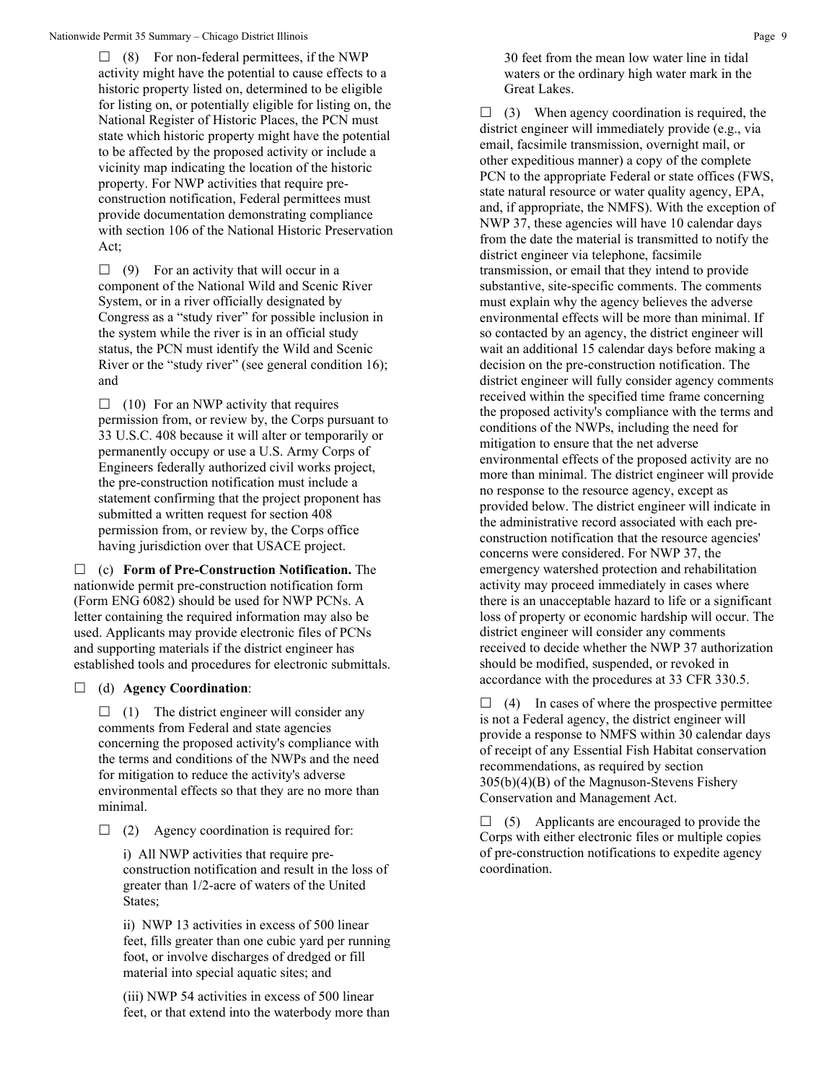$\Box$  (8) For non-federal permittees, if the NWP activity might have the potential to cause effects to a historic property listed on, determined to be eligible for listing on, or potentially eligible for listing on, the National Register of Historic Places, the PCN must state which historic property might have the potential to be affected by the proposed activity or include a vicinity map indicating the location of the historic property. For NWP activities that require preconstruction notification, Federal permittees must provide documentation demonstrating compliance with section 106 of the National Historic Preservation Act;

 $\Box$  (9) For an activity that will occur in a component of the National Wild and Scenic River System, or in a river officially designated by Congress as a "study river" for possible inclusion in the system while the river is in an official study status, the PCN must identify the Wild and Scenic River or the "study river" (see general condition 16); and

 $\Box$  (10) For an NWP activity that requires permission from, or review by, the Corps pursuant to 33 U.S.C. 408 because it will alter or temporarily or permanently occupy or use a U.S. Army Corps of Engineers federally authorized civil works project, the pre-construction notification must include a statement confirming that the project proponent has submitted a written request for section 408 permission from, or review by, the Corps office having jurisdiction over that USACE project.

 (c) **Form of Pre-Construction Notification.** The nationwide permit pre-construction notification form (Form ENG 6082) should be used for NWP PCNs. A letter containing the required information may also be used. Applicants may provide electronic files of PCNs and supporting materials if the district engineer has established tools and procedures for electronic submittals.

## (d) **Agency Coordination**:

 $\Box$  (1) The district engineer will consider any comments from Federal and state agencies concerning the proposed activity's compliance with the terms and conditions of the NWPs and the need for mitigation to reduce the activity's adverse environmental effects so that they are no more than minimal.

 $\Box$  (2) Agency coordination is required for:

i) All NWP activities that require preconstruction notification and result in the loss of greater than 1/2-acre of waters of the United States;

ii) NWP 13 activities in excess of 500 linear feet, fills greater than one cubic yard per running foot, or involve discharges of dredged or fill material into special aquatic sites; and

(iii) NWP 54 activities in excess of 500 linear feet, or that extend into the waterbody more than

30 feet from the mean low water line in tidal waters or the ordinary high water mark in the Great Lakes.

 $\Box$  (3) When agency coordination is required, the district engineer will immediately provide (e.g., via email, facsimile transmission, overnight mail, or other expeditious manner) a copy of the complete PCN to the appropriate Federal or state offices (FWS, state natural resource or water quality agency, EPA, and, if appropriate, the NMFS). With the exception of NWP 37, these agencies will have 10 calendar days from the date the material is transmitted to notify the district engineer via telephone, facsimile transmission, or email that they intend to provide substantive, site-specific comments. The comments must explain why the agency believes the adverse environmental effects will be more than minimal. If so contacted by an agency, the district engineer will wait an additional 15 calendar days before making a decision on the pre-construction notification. The district engineer will fully consider agency comments received within the specified time frame concerning the proposed activity's compliance with the terms and conditions of the NWPs, including the need for mitigation to ensure that the net adverse environmental effects of the proposed activity are no more than minimal. The district engineer will provide no response to the resource agency, except as provided below. The district engineer will indicate in the administrative record associated with each preconstruction notification that the resource agencies' concerns were considered. For NWP 37, the emergency watershed protection and rehabilitation activity may proceed immediately in cases where there is an unacceptable hazard to life or a significant loss of property or economic hardship will occur. The district engineer will consider any comments received to decide whether the NWP 37 authorization should be modified, suspended, or revoked in accordance with the procedures at 33 CFR 330.5.

 $\Box$  (4) In cases of where the prospective permittee is not a Federal agency, the district engineer will provide a response to NMFS within 30 calendar days of receipt of any Essential Fish Habitat conservation recommendations, as required by section 305(b)(4)(B) of the Magnuson-Stevens Fishery Conservation and Management Act.

 $\Box$  (5) Applicants are encouraged to provide the Corps with either electronic files or multiple copies of pre-construction notifications to expedite agency coordination.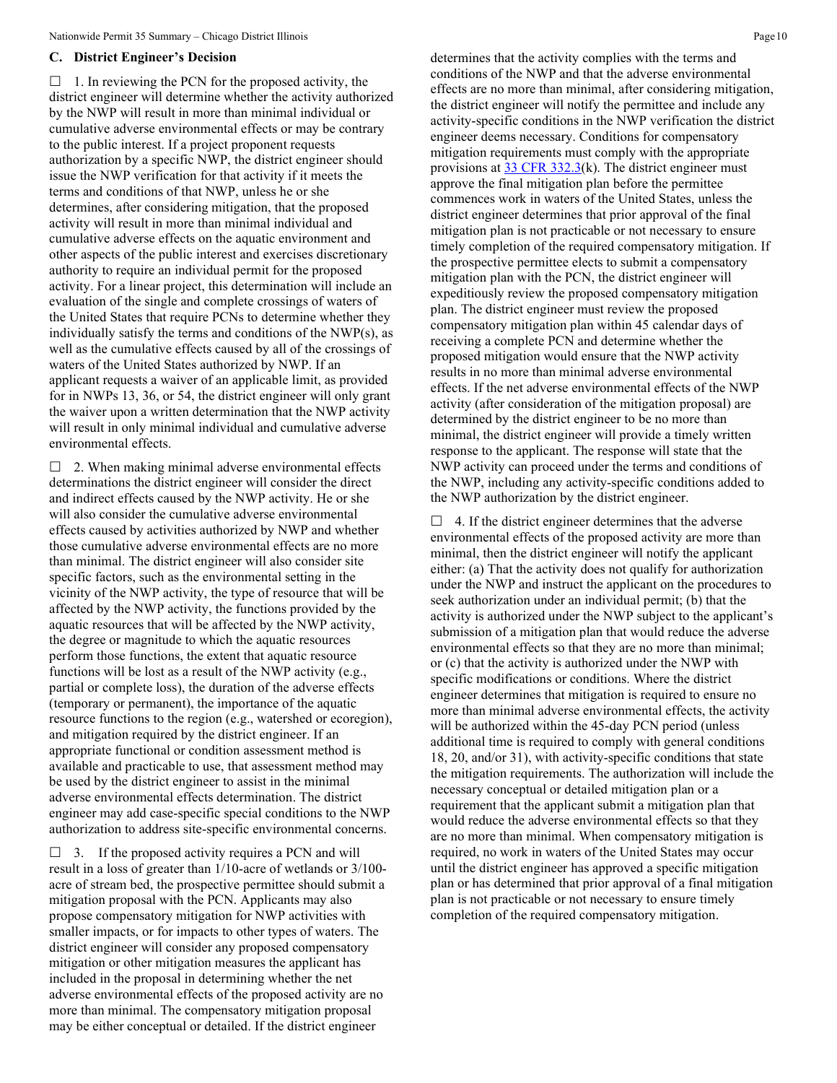#### **C. District Engineer's Decision**

 $\Box$  1. In reviewing the PCN for the proposed activity, the district engineer will determine whether the activity authorized by the NWP will result in more than minimal individual or cumulative adverse environmental effects or may be contrary to the public interest. If a project proponent requests authorization by a specific NWP, the district engineer should issue the NWP verification for that activity if it meets the terms and conditions of that NWP, unless he or she determines, after considering mitigation, that the proposed activity will result in more than minimal individual and cumulative adverse effects on the aquatic environment and other aspects of the public interest and exercises discretionary authority to require an individual permit for the proposed activity. For a linear project, this determination will include an evaluation of the single and complete crossings of waters of the United States that require PCNs to determine whether they individually satisfy the terms and conditions of the NWP(s), as well as the cumulative effects caused by all of the crossings of waters of the United States authorized by NWP. If an applicant requests a waiver of an applicable limit, as provided for in NWPs 13, 36, or 54, the district engineer will only grant the waiver upon a written determination that the NWP activity will result in only minimal individual and cumulative adverse environmental effects.

 $\Box$  2. When making minimal adverse environmental effects determinations the district engineer will consider the direct and indirect effects caused by the NWP activity. He or she will also consider the cumulative adverse environmental effects caused by activities authorized by NWP and whether those cumulative adverse environmental effects are no more than minimal. The district engineer will also consider site specific factors, such as the environmental setting in the vicinity of the NWP activity, the type of resource that will be affected by the NWP activity, the functions provided by the aquatic resources that will be affected by the NWP activity, the degree or magnitude to which the aquatic resources perform those functions, the extent that aquatic resource functions will be lost as a result of the NWP activity (e.g., partial or complete loss), the duration of the adverse effects (temporary or permanent), the importance of the aquatic resource functions to the region (e.g., watershed or ecoregion), and mitigation required by the district engineer. If an appropriate functional or condition assessment method is available and practicable to use, that assessment method may be used by the district engineer to assist in the minimal adverse environmental effects determination. The district engineer may add case-specific special conditions to the NWP authorization to address site-specific environmental concerns.

 $\Box$  3. If the proposed activity requires a PCN and will result in a loss of greater than 1/10-acre of wetlands or 3/100 acre of stream bed, the prospective permittee should submit a mitigation proposal with the PCN. Applicants may also propose compensatory mitigation for NWP activities with smaller impacts, or for impacts to other types of waters. The district engineer will consider any proposed compensatory mitigation or other mitigation measures the applicant has included in the proposal in determining whether the net adverse environmental effects of the proposed activity are no more than minimal. The compensatory mitigation proposal may be either conceptual or detailed. If the district engineer

determines that the activity complies with the terms and conditions of the NWP and that the adverse environmental effects are no more than minimal, after considering mitigation, the district engineer will notify the permittee and include any activity-specific conditions in the NWP verification the district engineer deems necessary. Conditions for compensatory mitigation requirements must comply with the appropriate provisions at  $33$  CFR 332.3(k). The district engineer must approve the final mitigation plan before the permittee commences work in waters of the United States, unless the district engineer determines that prior approval of the final mitigation plan is not practicable or not necessary to ensure timely completion of the required compensatory mitigation. If the prospective permittee elects to submit a compensatory mitigation plan with the PCN, the district engineer will expeditiously review the proposed compensatory mitigation plan. The district engineer must review the proposed compensatory mitigation plan within 45 calendar days of receiving a complete PCN and determine whether the proposed mitigation would ensure that the NWP activity results in no more than minimal adverse environmental effects. If the net adverse environmental effects of the NWP activity (after consideration of the mitigation proposal) are determined by the district engineer to be no more than minimal, the district engineer will provide a timely written response to the applicant. The response will state that the NWP activity can proceed under the terms and conditions of the NWP, including any activity-specific conditions added to the NWP authorization by the district engineer.

 $\Box$  4. If the district engineer determines that the adverse environmental effects of the proposed activity are more than minimal, then the district engineer will notify the applicant either: (a) That the activity does not qualify for authorization under the NWP and instruct the applicant on the procedures to seek authorization under an individual permit; (b) that the activity is authorized under the NWP subject to the applicant's submission of a mitigation plan that would reduce the adverse environmental effects so that they are no more than minimal; or (c) that the activity is authorized under the NWP with specific modifications or conditions. Where the district engineer determines that mitigation is required to ensure no more than minimal adverse environmental effects, the activity will be authorized within the 45-day PCN period (unless additional time is required to comply with general conditions 18, 20, and/or 31), with activity-specific conditions that state the mitigation requirements. The authorization will include the necessary conceptual or detailed mitigation plan or a requirement that the applicant submit a mitigation plan that would reduce the adverse environmental effects so that they are no more than minimal. When compensatory mitigation is required, no work in waters of the United States may occur until the district engineer has approved a specific mitigation plan or has determined that prior approval of a final mitigation plan is not practicable or not necessary to ensure timely completion of the required compensatory mitigation.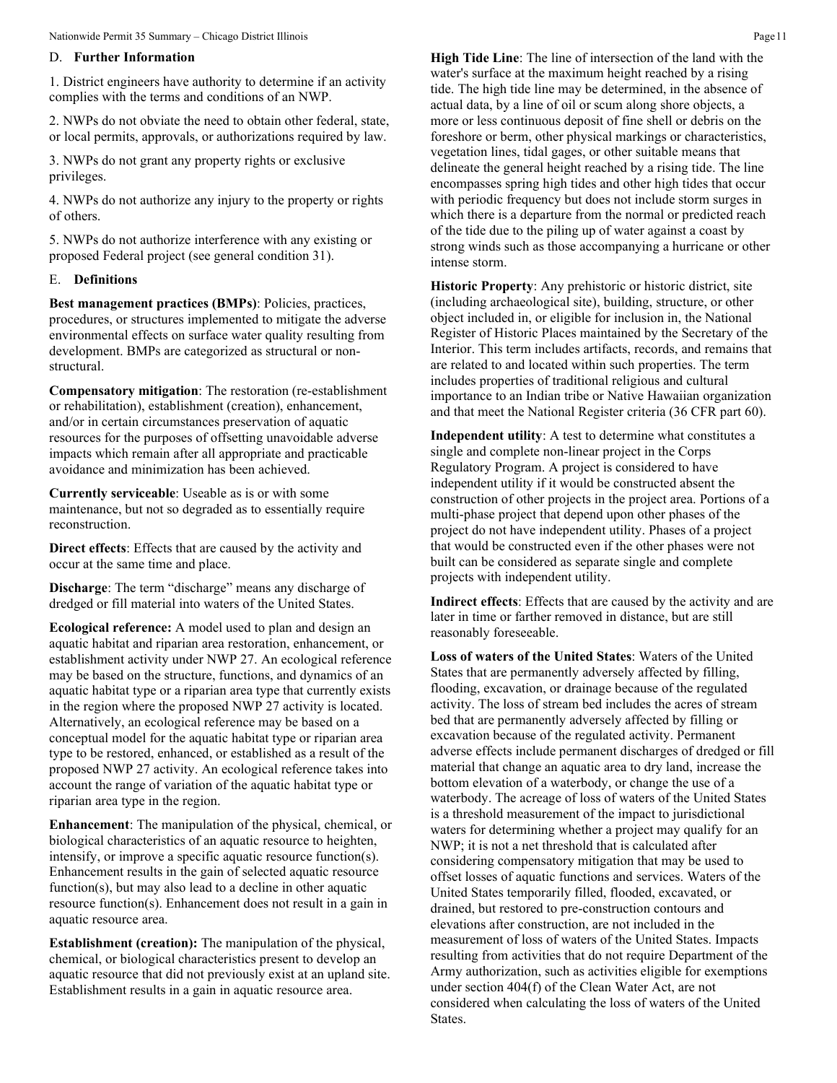#### D. **Further Information**

1. District engineers have authority to determine if an activity complies with the terms and conditions of an NWP.

2. NWPs do not obviate the need to obtain other federal, state, or local permits, approvals, or authorizations required by law.

3. NWPs do not grant any property rights or exclusive privileges.

4. NWPs do not authorize any injury to the property or rights of others.

5. NWPs do not authorize interference with any existing or proposed Federal project (see general condition 31).

#### E. **Definitions**

**Best management practices (BMPs)**: Policies, practices, procedures, or structures implemented to mitigate the adverse environmental effects on surface water quality resulting from development. BMPs are categorized as structural or nonstructural.

**Compensatory mitigation**: The restoration (re-establishment or rehabilitation), establishment (creation), enhancement, and/or in certain circumstances preservation of aquatic resources for the purposes of offsetting unavoidable adverse impacts which remain after all appropriate and practicable avoidance and minimization has been achieved.

**Currently serviceable**: Useable as is or with some maintenance, but not so degraded as to essentially require reconstruction.

**Direct effects**: Effects that are caused by the activity and occur at the same time and place.

**Discharge**: The term "discharge" means any discharge of dredged or fill material into waters of the United States.

**Ecological reference:** A model used to plan and design an aquatic habitat and riparian area restoration, enhancement, or establishment activity under NWP 27. An ecological reference may be based on the structure, functions, and dynamics of an aquatic habitat type or a riparian area type that currently exists in the region where the proposed NWP 27 activity is located. Alternatively, an ecological reference may be based on a conceptual model for the aquatic habitat type or riparian area type to be restored, enhanced, or established as a result of the proposed NWP 27 activity. An ecological reference takes into account the range of variation of the aquatic habitat type or riparian area type in the region.

**Enhancement**: The manipulation of the physical, chemical, or biological characteristics of an aquatic resource to heighten, intensify, or improve a specific aquatic resource function(s). Enhancement results in the gain of selected aquatic resource function(s), but may also lead to a decline in other aquatic resource function(s). Enhancement does not result in a gain in aquatic resource area.

**Establishment (creation):** The manipulation of the physical, chemical, or biological characteristics present to develop an aquatic resource that did not previously exist at an upland site. Establishment results in a gain in aquatic resource area.

**High Tide Line**: The line of intersection of the land with the water's surface at the maximum height reached by a rising tide. The high tide line may be determined, in the absence of actual data, by a line of oil or scum along shore objects, a more or less continuous deposit of fine shell or debris on the foreshore or berm, other physical markings or characteristics, vegetation lines, tidal gages, or other suitable means that delineate the general height reached by a rising tide. The line encompasses spring high tides and other high tides that occur with periodic frequency but does not include storm surges in which there is a departure from the normal or predicted reach of the tide due to the piling up of water against a coast by strong winds such as those accompanying a hurricane or other intense storm.

**Historic Property**: Any prehistoric or historic district, site (including archaeological site), building, structure, or other object included in, or eligible for inclusion in, the National Register of Historic Places maintained by the Secretary of the Interior. This term includes artifacts, records, and remains that are related to and located within such properties. The term includes properties of traditional religious and cultural importance to an Indian tribe or Native Hawaiian organization and that meet the National Register criteria (36 CFR part 60).

**Independent utility**: A test to determine what constitutes a single and complete non-linear project in the Corps Regulatory Program. A project is considered to have independent utility if it would be constructed absent the construction of other projects in the project area. Portions of a multi-phase project that depend upon other phases of the project do not have independent utility. Phases of a project that would be constructed even if the other phases were not built can be considered as separate single and complete projects with independent utility.

**Indirect effects**: Effects that are caused by the activity and are later in time or farther removed in distance, but are still reasonably foreseeable.

**Loss of waters of the United States**: Waters of the United States that are permanently adversely affected by filling, flooding, excavation, or drainage because of the regulated activity. The loss of stream bed includes the acres of stream bed that are permanently adversely affected by filling or excavation because of the regulated activity. Permanent adverse effects include permanent discharges of dredged or fill material that change an aquatic area to dry land, increase the bottom elevation of a waterbody, or change the use of a waterbody. The acreage of loss of waters of the United States is a threshold measurement of the impact to jurisdictional waters for determining whether a project may qualify for an NWP; it is not a net threshold that is calculated after considering compensatory mitigation that may be used to offset losses of aquatic functions and services. Waters of the United States temporarily filled, flooded, excavated, or drained, but restored to pre-construction contours and elevations after construction, are not included in the measurement of loss of waters of the United States. Impacts resulting from activities that do not require Department of the Army authorization, such as activities eligible for exemptions under section 404(f) of the Clean Water Act, are not considered when calculating the loss of waters of the United States.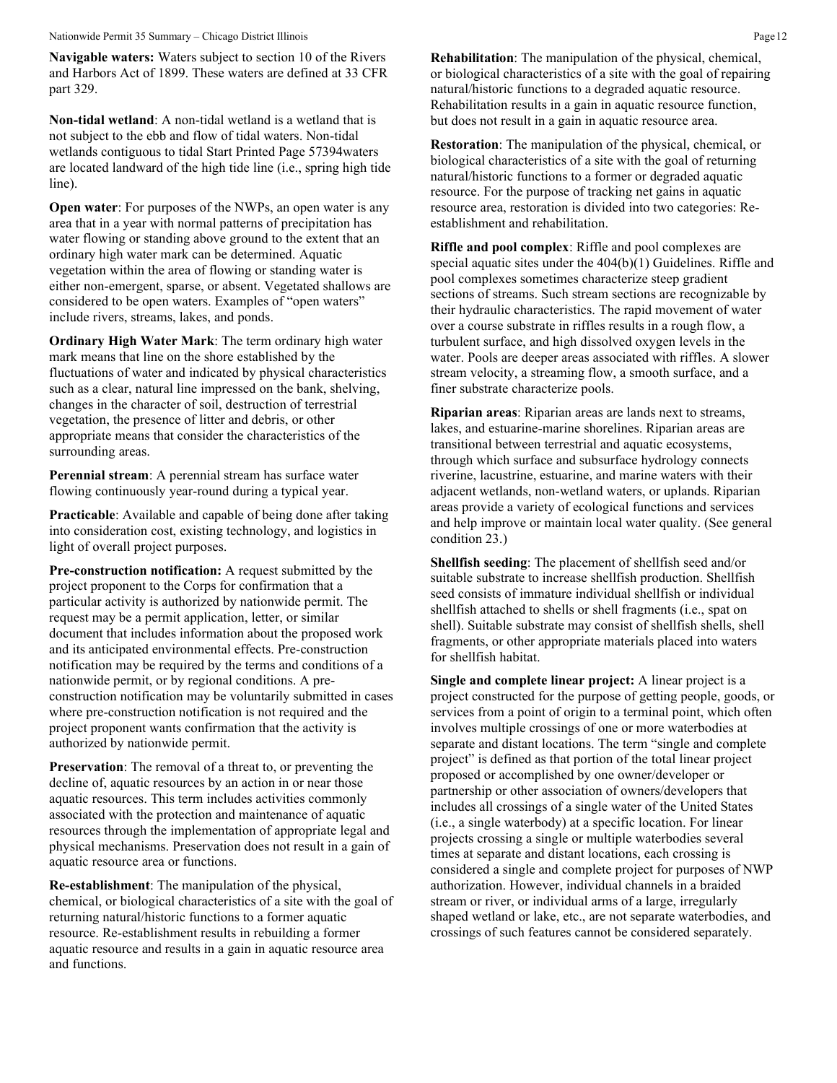Nationwide Permit 35 Summary – Chicago District Illinois Page 12

**Navigable waters:** Waters subject to section 10 of the Rivers and Harbors Act of 1899. These waters are defined at 33 CFR part 329.

**Non-tidal wetland**: A non-tidal wetland is a wetland that is not subject to the ebb and flow of tidal waters. Non-tidal wetlands contiguous to tidal Start Printed Page 57394waters are located landward of the high tide line (i.e., spring high tide line).

**Open water:** For purposes of the NWPs, an open water is any area that in a year with normal patterns of precipitation has water flowing or standing above ground to the extent that an ordinary high water mark can be determined. Aquatic vegetation within the area of flowing or standing water is either non-emergent, sparse, or absent. Vegetated shallows are considered to be open waters. Examples of "open waters" include rivers, streams, lakes, and ponds.

**Ordinary High Water Mark**: The term ordinary high water mark means that line on the shore established by the fluctuations of water and indicated by physical characteristics such as a clear, natural line impressed on the bank, shelving, changes in the character of soil, destruction of terrestrial vegetation, the presence of litter and debris, or other appropriate means that consider the characteristics of the surrounding areas.

**Perennial stream**: A perennial stream has surface water flowing continuously year-round during a typical year.

**Practicable:** Available and capable of being done after taking into consideration cost, existing technology, and logistics in light of overall project purposes.

**Pre-construction notification:** A request submitted by the project proponent to the Corps for confirmation that a particular activity is authorized by nationwide permit. The request may be a permit application, letter, or similar document that includes information about the proposed work and its anticipated environmental effects. Pre-construction notification may be required by the terms and conditions of a nationwide permit, or by regional conditions. A preconstruction notification may be voluntarily submitted in cases where pre-construction notification is not required and the project proponent wants confirmation that the activity is authorized by nationwide permit.

**Preservation**: The removal of a threat to, or preventing the decline of, aquatic resources by an action in or near those aquatic resources. This term includes activities commonly associated with the protection and maintenance of aquatic resources through the implementation of appropriate legal and physical mechanisms. Preservation does not result in a gain of aquatic resource area or functions.

**Re-establishment**: The manipulation of the physical, chemical, or biological characteristics of a site with the goal of returning natural/historic functions to a former aquatic resource. Re-establishment results in rebuilding a former aquatic resource and results in a gain in aquatic resource area and functions.

**Rehabilitation**: The manipulation of the physical, chemical, or biological characteristics of a site with the goal of repairing natural/historic functions to a degraded aquatic resource. Rehabilitation results in a gain in aquatic resource function, but does not result in a gain in aquatic resource area.

**Restoration**: The manipulation of the physical, chemical, or biological characteristics of a site with the goal of returning natural/historic functions to a former or degraded aquatic resource. For the purpose of tracking net gains in aquatic resource area, restoration is divided into two categories: Reestablishment and rehabilitation.

**Riffle and pool complex**: Riffle and pool complexes are special aquatic sites under the 404(b)(1) Guidelines. Riffle and pool complexes sometimes characterize steep gradient sections of streams. Such stream sections are recognizable by their hydraulic characteristics. The rapid movement of water over a course substrate in riffles results in a rough flow, a turbulent surface, and high dissolved oxygen levels in the water. Pools are deeper areas associated with riffles. A slower stream velocity, a streaming flow, a smooth surface, and a finer substrate characterize pools.

**Riparian areas**: Riparian areas are lands next to streams, lakes, and estuarine-marine shorelines. Riparian areas are transitional between terrestrial and aquatic ecosystems, through which surface and subsurface hydrology connects riverine, lacustrine, estuarine, and marine waters with their adjacent wetlands, non-wetland waters, or uplands. Riparian areas provide a variety of ecological functions and services and help improve or maintain local water quality. (See general condition 23.)

**Shellfish seeding**: The placement of shellfish seed and/or suitable substrate to increase shellfish production. Shellfish seed consists of immature individual shellfish or individual shellfish attached to shells or shell fragments (i.e., spat on shell). Suitable substrate may consist of shellfish shells, shell fragments, or other appropriate materials placed into waters for shellfish habitat.

**Single and complete linear project:** A linear project is a project constructed for the purpose of getting people, goods, or services from a point of origin to a terminal point, which often involves multiple crossings of one or more waterbodies at separate and distant locations. The term "single and complete project" is defined as that portion of the total linear project proposed or accomplished by one owner/developer or partnership or other association of owners/developers that includes all crossings of a single water of the United States (i.e., a single waterbody) at a specific location. For linear projects crossing a single or multiple waterbodies several times at separate and distant locations, each crossing is considered a single and complete project for purposes of NWP authorization. However, individual channels in a braided stream or river, or individual arms of a large, irregularly shaped wetland or lake, etc., are not separate waterbodies, and crossings of such features cannot be considered separately.